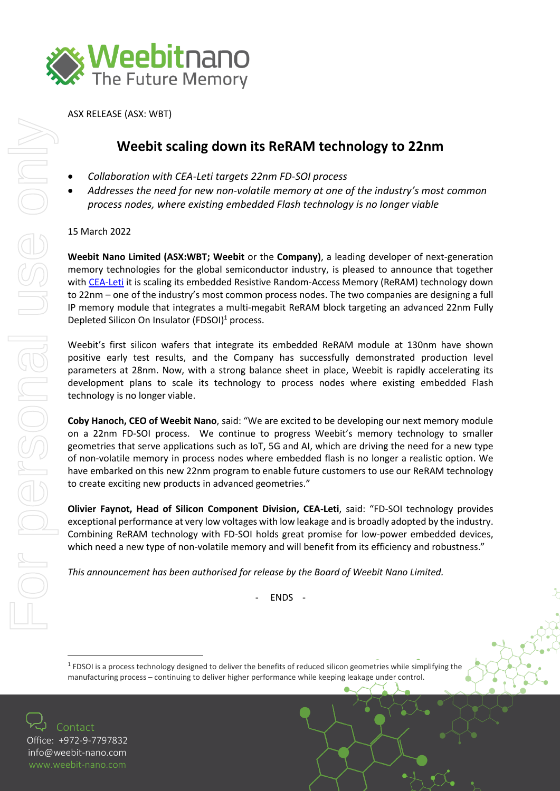

ASX RELEASE (ASX: WBT)

## **Weebit scaling down its ReRAM technology to 22nm**

- *Collaboration with CEA-Leti targets 22nm FD-SOI process*
- *Addresses the need for new non-volatile memory at one of the industry's most common process nodes, where existing embedded Flash technology is no longer viable*

## 15 March 2022

**Weebit Nano Limited (ASX:WBT; Weebit** or the **Company)**, a leading developer of next-generation memory technologies for the global semiconductor industry, is pleased to announce that together with [CEA-Leti](https://www.leti-cea.com/) it is scaling its embedded Resistive Random-Access Memory (ReRAM) technology down to 22nm – one of the industry's most common process nodes. The two companies are designing a full IP memory module that integrates a multi-megabit ReRAM block targeting an advanced 22nm Fully Depleted Silicon On Insulator (FDSOI)<sup>1</sup> process.

Weebit's first silicon wafers that integrate its embedded ReRAM module at 130nm have shown positive early test results, and the Company has successfully demonstrated production level parameters at 28nm. Now, with a strong balance sheet in place, Weebit is rapidly accelerating its development plans to scale its technology to process nodes where existing embedded Flash technology is no longer viable.

**Coby Hanoch, CEO of Weebit Nano**, said: "We are excited to be developing our next memory module on a 22nm FD-SOI process. We continue to progress Weebit's memory technology to smaller geometries that serve applications such as IoT, 5G and AI, which are driving the need for a new type of non-volatile memory in process nodes where embedded flash is no longer a realistic option. We have embarked on this new 22nm program to enable future customers to use our ReRAM technology to create exciting new products in advanced geometries."

**Olivier Faynot, Head of Silicon Component Division, CEA-Leti**, said: "FD-SOI technology provides exceptional performance at very low voltages with low leakage and is broadly adopted by the industry. Combining ReRAM technology with FD-SOI holds great promise for low-power embedded devices, which need a new type of non-volatile memory and will benefit from its efficiency and robustness."

*This announcement has been authorised for release by the Board of Weebit Nano Limited.*

- ENDS -

<sup>1</sup> FDSOI is a process technology designed to deliver the benefits of reduced silicon geometries while simplifying the manufacturing process – continuing to deliver higher performance while keeping leakage under control.

Contact Office: +972-9-7797832 [info@weebit-nano.com](mailto:info@weebit-nano.com)